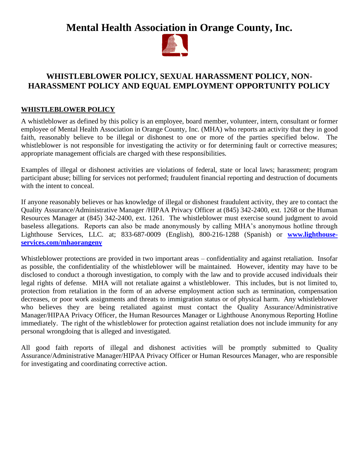# **Mental Health Association in Orange County, Inc.**



# **WHISTLEBLOWER POLICY, SEXUAL HARASSMENT POLICY, NON-HARASSMENT POLICY AND EQUAL EMPLOYMENT OPPORTUNITY POLICY**

#### **WHISTLEBLOWER POLICY**

A whistleblower as defined by this policy is an employee, board member, volunteer, intern, consultant or former employee of Mental Health Association in Orange County, Inc. (MHA) who reports an activity that they in good faith, reasonably believe to be illegal or dishonest to one or more of the parties specified below. The whistleblower is not responsible for investigating the activity or for determining fault or corrective measures; appropriate management officials are charged with these responsibilities.

Examples of illegal or dishonest activities are violations of federal, state or local laws; harassment; program participant abuse; billing for services not performed; fraudulent financial reporting and destruction of documents with the intent to conceal.

If anyone reasonably believes or has knowledge of illegal or dishonest fraudulent activity, they are to contact the Quality Assurance/Administrative Manager /HIPAA Privacy Officer at (845) 342-2400, ext. 1268 or the Human Resources Manager at (845) 342-2400, ext. 1261. The whistleblower must exercise sound judgment to avoid baseless allegations. Reports can also be made anonymously by calling MHA's anonymous hotline through Lighthouse Services, LLC. at; 833-687-0009 (English), 800-216-1288 (Spanish) or **[www.lighthouse](http://www.lighthouse-services.com/mhaorangeny)[services.com/mhaorangeny](http://www.lighthouse-services.com/mhaorangeny)**

Whistleblower protections are provided in two important areas – confidentiality and against retaliation. Insofar as possible, the confidentiality of the whistleblower will be maintained. However, identity may have to be disclosed to conduct a thorough investigation, to comply with the law and to provide accused individuals their legal rights of defense. MHA will not retaliate against a whistleblower. This includes, but is not limited to, protection from retaliation in the form of an adverse employment action such as termination, compensation decreases, or poor work assignments and threats to immigration status or of physical harm. Any whistleblower who believes they are being retaliated against must contact the Quality Assurance/Administrative Manager/HIPAA Privacy Officer, the Human Resources Manager or Lighthouse Anonymous Reporting Hotline immediately. The right of the whistleblower for protection against retaliation does not include immunity for any personal wrongdoing that is alleged and investigated.

All good faith reports of illegal and dishonest activities will be promptly submitted to Quality Assurance/Administrative Manager/HIPAA Privacy Officer or Human Resources Manager, who are responsible for investigating and coordinating corrective action.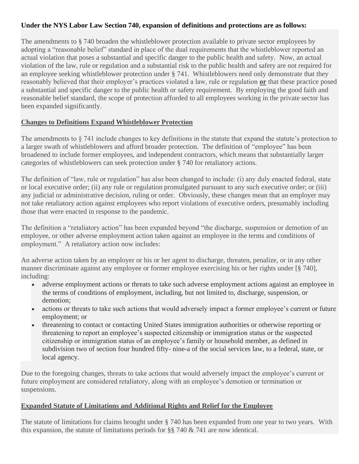# **Under the NYS Labor Law Section 740, expansion of definitions and protections are as follows:**

The amendments to § 740 broaden the whistleblower protection available to private sector employees by adopting a "reasonable belief" standard in place of the dual requirements that the whistleblower reported an actual violation that poses a substantial and specific danger to the public health and safety. Now, an actual violation of the law, rule or regulation and a substantial risk to the public health and safety are not required for an employee seeking whistleblower protection under § 741. Whistleblowers need only demonstrate that they reasonably believed that their employer's practices violated a law, rule or regulation **or** that these practice posed a substantial and specific danger to the public health or safety requirement. By employing the good faith and reasonable belief standard, the scope of protection afforded to all employees working in the private sector has been expanded significantly.

# **Changes to Definitions Expand Whistleblower Protection**

The amendments to § 741 include changes to key definitions in the statute that expand the statute's protection to a larger swath of whistleblowers and afford broader protection. The definition of "employee" has been broadened to include former employees, and independent contractors, which means that substantially larger categories of whistleblowers can seek protection under § 740 for retaliatory actions.

The definition of "law, rule or regulation" has also been changed to include: (i) any duly enacted federal, state or local executive order; (ii) any rule or regulation promulgated pursuant to any such executive order; or (iii) any judicial or administrative decision, ruling or order. Obviously, these changes mean that an employer may not take retaliatory action against employees who report violations of executive orders, presumably including those that were enacted in response to the pandemic.

The definition a "retaliatory action" has been expanded beyond "the discharge, suspension or demotion of an employee, or other adverse employment action taken against an employee in the terms and conditions of employment." A retaliatory action now includes:

An adverse action taken by an employer or his or her agent to discharge, threaten, penalize, or in any other manner discriminate against any employee or former employee exercising his or her rights under [§ 740], including:

- adverse employment actions or threats to take such adverse employment actions against an employee in the terms of conditions of employment, including, but not limited to, discharge, suspension, or demotion;
- actions or threats to take such actions that would adversely impact a former employee's current or future employment; or
- threatening to contact or contacting United States immigration authorities or otherwise reporting or threatening to report an employee's suspected citizenship or immigration status or the suspected citizenship or immigration status of an employee's family or household member, as defined in subdivision two of section four hundred fifty- nine-a of the social services law, to a federal, state, or local agency.

Due to the foregoing changes, threats to take actions that would adversely impact the employee's current or future employment are considered retaliatory, along with an employee's demotion or termination or suspensions.

# **Expanded Statute of Limitations and Additional Rights and Relief for the Employee**

The statute of limitations for claims brought under § 740 has been expanded from one year to two years. With this expansion, the statute of limitations periods for  $\S$ § 740 & 741 are now identical.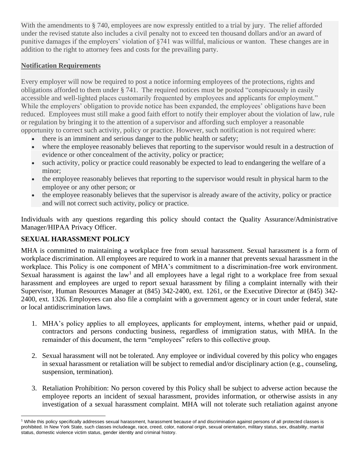With the amendments to § 740, employees are now expressly entitled to a trial by jury. The relief afforded under the revised statute also includes a civil penalty not to exceed ten thousand dollars and/or an award of punitive damages if the employers' violation of §741 was willful, malicious or wanton. These changes are in addition to the right to attorney fees and costs for the prevailing party.

# **Notification Requirements**

Every employer will now be required to post a notice informing employees of the protections, rights and obligations afforded to them under § 741. The required notices must be posted "conspicuously in easily accessible and well-lighted places customarily frequented by employees and applicants for employment." While the employers' obligation to provide notice has been expanded, the employees' obligations have been reduced. Employees must still make a good faith effort to notify their employer about the violation of law, rule or regulation by bringing it to the attention of a supervisor and affording such employer a reasonable opportunity to correct such activity, policy or practice. However, such notification is not required where:

- there is an imminent and serious danger to the public health or safety;
- where the employee reasonably believes that reporting to the supervisor would result in a destruction of evidence or other concealment of the activity, policy or practice;
- such activity, policy or practice could reasonably be expected to lead to endangering the welfare of a minor;
- the employee reasonably believes that reporting to the supervisor would result in physical harm to the employee or any other person; or
- the employee reasonably believes that the supervisor is already aware of the activity, policy or practice and will not correct such activity, policy or practice.

Individuals with any questions regarding this policy should contact the Quality Assurance/Administrative Manager/HIPAA Privacy Officer.

#### **SEXUAL HARASSMENT POLICY**

MHA is committed to maintaining a workplace free from sexual harassment. Sexual harassment is a form of workplace discrimination. All employees are required to work in a manner that prevents sexual harassment in the workplace. This Policy is one component of MHA's commitment to a discrimination-free work environment. Sexual harassment is against the law<sup>1</sup> and all employees have a legal right to a workplace free from sexual harassment and employees are urged to report sexual harassment by filing a complaint internally with their Supervisor, Human Resources Manager at (845) 342-2400, ext. 1261, or the Executive Director at (845) 342- 2400, ext. 1326. Employees can also file a complaint with a government agency or in court under federal, state or local antidiscrimination laws.

- 1. MHA's policy applies to all employees, applicants for employment, interns, whether paid or unpaid, contractors and persons conducting business, regardless of immigration status, with MHA. In the remainder of this document, the term "employees" refers to this collective group.
- 2. Sexual harassment will not be tolerated. Any employee or individual covered by this policy who engages in sexual harassment or retaliation will be subject to remedial and/or disciplinary action (e.g., counseling, suspension, termination).
- 3. Retaliation Prohibition: No person covered by this Policy shall be subject to adverse action because the employee reports an incident of sexual harassment, provides information, or otherwise assists in any investigation of a sexual harassment complaint. MHA will not tolerate such retaliation against anyone

<sup>1</sup> While this policy specifically addresses sexual harassment, harassment because of and discrimination against persons of all protected classes is prohibited. In New York State, such classes includeage, race, creed, color, national origin, sexual orientation, military status, sex, disability, marital status, domestic violence victim status, gender identity and criminal history.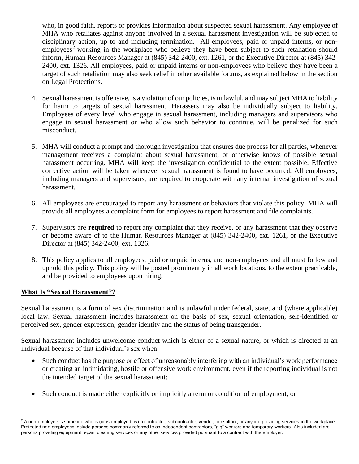who, in good faith, reports or provides information about suspected sexual harassment. Any employee of MHA who retaliates against anyone involved in a sexual harassment investigation will be subjected to disciplinary action, up to and including termination. All employees, paid or unpaid interns, or nonemployees<sup>2</sup> working in the workplace who believe they have been subject to such retaliation should inform, Human Resources Manager at (845) 342-2400, ext. 1261, or the Executive Director at (845) 342- 2400, ext. 1326. All employees, paid or unpaid interns or non-employees who believe they have been a target of such retaliation may also seek relief in other available forums, as explained below in the section on Legal Protections.

- 4. Sexual harassment is offensive, is a violation of our policies, is unlawful, and may subject MHA to liability for harm to targets of sexual harassment. Harassers may also be individually subject to liability. Employees of every level who engage in sexual harassment, including managers and supervisors who engage in sexual harassment or who allow such behavior to continue, will be penalized for such misconduct.
- 5. MHA will conduct a prompt and thorough investigation that ensures due process for all parties, whenever management receives a complaint about sexual harassment, or otherwise knows of possible sexual harassment occurring. MHA will keep the investigation confidential to the extent possible. Effective corrective action will be taken whenever sexual harassment is found to have occurred. All employees, including managers and supervisors, are required to cooperate with any internal investigation of sexual harassment.
- 6. All employees are encouraged to report any harassment or behaviors that violate this policy. MHA will provide all employees a complaint form for employees to report harassment and file complaints.
- 7. Supervisors are **required** to report any complaint that they receive, or any harassment that they observe or become aware of to the Human Resources Manager at (845) 342-2400, ext. 1261, or the Executive Director at (845) 342-2400, ext. 1326.
- 8. This policy applies to all employees, paid or unpaid interns, and non-employees and all must follow and uphold this policy. This policy will be posted prominently in all work locations, to the extent practicable, and be provided to employees upon hiring.

#### **What Is "Sexual Harassment"?**

Sexual harassment is a form of sex discrimination and is unlawful under federal, state, and (where applicable) local law. Sexual harassment includes harassment on the basis of sex, sexual orientation, self-identified or perceived sex, gender expression, gender identity and the status of being transgender.

Sexual harassment includes unwelcome conduct which is either of a sexual nature, or which is directed at an individual because of that individual's sex when:

- Such conduct has the purpose or effect of unreasonably interfering with an individual's work performance or creating an intimidating, hostile or offensive work environment, even if the reporting individual is not the intended target of the sexual harassment;
- Such conduct is made either explicitly or implicitly a term or condition of employment; or

<sup>&</sup>lt;sup>2</sup> A non-employee is someone who is (or is employed by) a contractor, subcontractor, vendor, consultant, or anyone providing services in the workplace. Protected non-employees include persons commonly referred to as independent contractors, "gig" workers and temporary workers. Also included are persons providing equipment repair, cleaning services or any other services provided pursuant to a contract with the employer.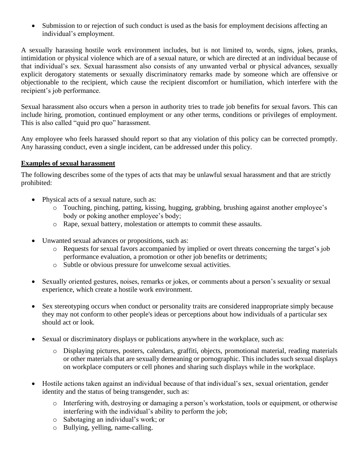• Submission to or rejection of such conduct is used as the basis for employment decisions affecting an individual's employment.

A sexually harassing hostile work environment includes, but is not limited to, words, signs, jokes, pranks, intimidation or physical violence which are of a sexual nature, or which are directed at an individual because of that individual's sex. Sexual harassment also consists of any unwanted verbal or physical advances, sexually explicit derogatory statements or sexually discriminatory remarks made by someone which are offensive or objectionable to the recipient, which cause the recipient discomfort or humiliation, which interfere with the recipient's job performance.

Sexual harassment also occurs when a person in authority tries to trade job benefits for sexual favors. This can include hiring, promotion, continued employment or any other terms, conditions or privileges of employment. This is also called "quid pro quo" harassment.

Any employee who feels harassed should report so that any violation of this policy can be corrected promptly. Any harassing conduct, even a single incident, can be addressed under this policy.

#### **Examples of sexual harassment**

The following describes some of the types of acts that may be unlawful sexual harassment and that are strictly prohibited:

- Physical acts of a sexual nature, such as:
	- o Touching, pinching, patting, kissing, hugging, grabbing, brushing against another employee's body or poking another employee's body;
	- o Rape, sexual battery, molestation or attempts to commit these assaults.
- Unwanted sexual advances or propositions, such as:
	- o Requests for sexual favors accompanied by implied or overt threats concerning the target's job performance evaluation, a promotion or other job benefits or detriments;
	- o Subtle or obvious pressure for unwelcome sexual activities.
- Sexually oriented gestures, noises, remarks or jokes, or comments about a person's sexuality or sexual experience, which create a hostile work environment.
- Sex stereotyping occurs when conduct or personality traits are considered inappropriate simply because they may not conform to other people's ideas or perceptions about how individuals of a particular sex should act or look.
- Sexual or discriminatory displays or publications anywhere in the workplace, such as:
	- o Displaying pictures, posters, calendars, graffiti, objects, promotional material, reading materials or other materials that are sexually demeaning or pornographic. This includes such sexual displays on workplace computers or cell phones and sharing such displays while in the workplace.
- Hostile actions taken against an individual because of that individual's sex, sexual orientation, gender identity and the status of being transgender, such as:
	- o Interfering with, destroying or damaging a person's workstation, tools or equipment, or otherwise interfering with the individual's ability to perform the job;
	- o Sabotaging an individual's work; or
	- o Bullying, yelling, name-calling.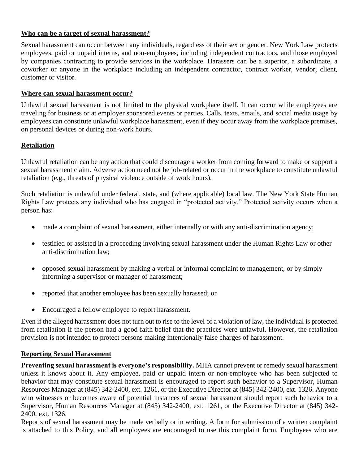#### **Who can be a target of sexual harassment?**

Sexual harassment can occur between any individuals, regardless of their sex or gender. New York Law protects employees, paid or unpaid interns, and non-employees, including independent contractors, and those employed by companies contracting to provide services in the workplace. Harassers can be a superior, a subordinate, a coworker or anyone in the workplace including an independent contractor, contract worker, vendor, client, customer or visitor.

# **Where can sexual harassment occur?**

Unlawful sexual harassment is not limited to the physical workplace itself. It can occur while employees are traveling for business or at employer sponsored events or parties. Calls, texts, emails, and social media usage by employees can constitute unlawful workplace harassment, even if they occur away from the workplace premises, on personal devices or during non-work hours.

## **Retaliation**

Unlawful retaliation can be any action that could discourage a worker from coming forward to make or support a sexual harassment claim. Adverse action need not be job-related or occur in the workplace to constitute unlawful retaliation (e.g., threats of physical violence outside of work hours).

Such retaliation is unlawful under federal, state, and (where applicable) local law. The New York State Human Rights Law protects any individual who has engaged in "protected activity." Protected activity occurs when a person has:

- made a complaint of sexual harassment, either internally or with any anti-discrimination agency;
- testified or assisted in a proceeding involving sexual harassment under the Human Rights Law or other anti-discrimination law;
- opposed sexual harassment by making a verbal or informal complaint to management, or by simply informing a supervisor or manager of harassment;
- reported that another employee has been sexually harassed; or
- Encouraged a fellow employee to report harassment.

Even if the alleged harassment does not turn out to rise to the level of a violation of law, the individual is protected from retaliation if the person had a good faith belief that the practices were unlawful. However, the retaliation provision is not intended to protect persons making intentionally false charges of harassment.

#### **Reporting Sexual Harassment**

**Preventing sexual harassment is everyone's responsibility.** MHA cannot prevent or remedy sexual harassment unless it knows about it. Any employee, paid or unpaid intern or non-employee who has been subjected to behavior that may constitute sexual harassment is encouraged to report such behavior to a Supervisor, Human Resources Manager at (845) 342-2400, ext. 1261, or the Executive Director at (845) 342-2400, ext. 1326. Anyone who witnesses or becomes aware of potential instances of sexual harassment should report such behavior to a Supervisor, Human Resources Manager at (845) 342-2400, ext. 1261, or the Executive Director at (845) 342- 2400, ext. 1326.

Reports of sexual harassment may be made verbally or in writing. A form for submission of a written complaint is attached to this Policy, and all employees are encouraged to use this complaint form. Employees who are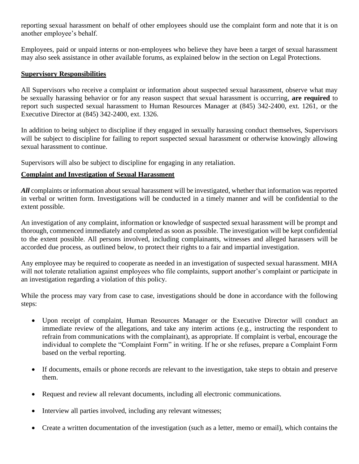reporting sexual harassment on behalf of other employees should use the complaint form and note that it is on another employee's behalf.

Employees, paid or unpaid interns or non-employees who believe they have been a target of sexual harassment may also seek assistance in other available forums, as explained below in the section on Legal Protections.

#### **Supervisory Responsibilities**

All Supervisors who receive a complaint or information about suspected sexual harassment, observe what may be sexually harassing behavior or for any reason suspect that sexual harassment is occurring, **are required** to report such suspected sexual harassment to Human Resources Manager at (845) 342-2400, ext. 1261, or the Executive Director at (845) 342-2400, ext. 1326.

In addition to being subject to discipline if they engaged in sexually harassing conduct themselves, Supervisors will be subject to discipline for failing to report suspected sexual harassment or otherwise knowingly allowing sexual harassment to continue.

Supervisors will also be subject to discipline for engaging in any retaliation.

#### **Complaint and Investigation of Sexual Harassment**

*All* complaints or information about sexual harassment will be investigated, whether that information was reported in verbal or written form. Investigations will be conducted in a timely manner and will be confidential to the extent possible.

An investigation of any complaint, information or knowledge of suspected sexual harassment will be prompt and thorough, commenced immediately and completed as soon as possible. The investigation will be kept confidential to the extent possible. All persons involved, including complainants, witnesses and alleged harassers will be accorded due process, as outlined below, to protect their rights to a fair and impartial investigation.

Any employee may be required to cooperate as needed in an investigation of suspected sexual harassment. MHA will not tolerate retaliation against employees who file complaints, support another's complaint or participate in an investigation regarding a violation of this policy.

While the process may vary from case to case, investigations should be done in accordance with the following steps:

- Upon receipt of complaint, Human Resources Manager or the Executive Director will conduct an immediate review of the allegations, and take any interim actions (e.g., instructing the respondent to refrain from communications with the complainant), as appropriate. If complaint is verbal, encourage the individual to complete the "Complaint Form" in writing. If he or she refuses, prepare a Complaint Form based on the verbal reporting.
- If documents, emails or phone records are relevant to the investigation, take steps to obtain and preserve them.
- Request and review all relevant documents, including all electronic communications.
- Interview all parties involved, including any relevant witnesses;
- Create a written documentation of the investigation (such as a letter, memo or email), which contains the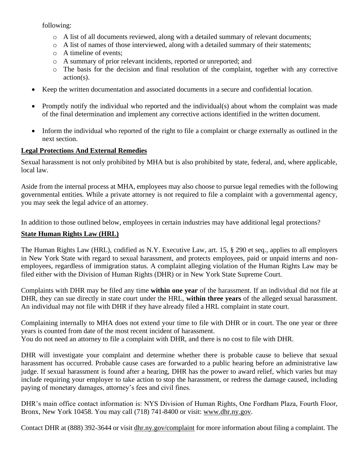following:

- o A list of all documents reviewed, along with a detailed summary of relevant documents;
- o A list of names of those interviewed, along with a detailed summary of their statements;
- o A timeline of events;
- o A summary of prior relevant incidents, reported or unreported; and
- o The basis for the decision and final resolution of the complaint, together with any corrective action(s).
- Keep the written documentation and associated documents in a secure and confidential location.
- Promptly notify the individual who reported and the individual(s) about whom the complaint was made of the final determination and implement any corrective actions identified in the written document.
- Inform the individual who reported of the right to file a complaint or charge externally as outlined in the next section.

## **Legal Protections And External Remedies**

Sexual harassment is not only prohibited by MHA but is also prohibited by state, federal, and, where applicable, local law.

Aside from the internal process at MHA, employees may also choose to pursue legal remedies with the following governmental entities. While a private attorney is not required to file a complaint with a governmental agency, you may seek the legal advice of an attorney.

In addition to those outlined below, employees in certain industries may have additional legal protections?

# **State Human Rights Law (HRL)**

The Human Rights Law (HRL), codified as N.Y. Executive Law, art. 15, § 290 et seq., applies to all employers in New York State with regard to sexual harassment, and protects employees, paid or unpaid interns and nonemployees, regardless of immigration status. A complaint alleging violation of the Human Rights Law may be filed either with the Division of Human Rights (DHR) or in New York State Supreme Court.

Complaints with DHR may be filed any time **within one year** of the harassment. If an individual did not file at DHR, they can sue directly in state court under the HRL, **within three years** of the alleged sexual harassment. An individual may not file with DHR if they have already filed a HRL complaint in state court.

Complaining internally to MHA does not extend your time to file with DHR or in court. The one year or three years is counted from date of the most recent incident of harassment. You do not need an attorney to file a complaint with DHR, and there is no cost to file with DHR.

DHR will investigate your complaint and determine whether there is probable cause to believe that sexual harassment has occurred. Probable cause cases are forwarded to a public hearing before an administrative law judge. If sexual harassment is found after a hearing, DHR has the power to award relief, which varies but may include requiring your employer to take action to stop the harassment, or redress the damage caused, including paying of monetary damages, attorney's fees and civil fines.

DHR's main office contact information is: NYS Division of Human Rights, One Fordham Plaza, Fourth Floor, Bronx, New York 10458. You may call (718) 741-8400 or visit: [www.dhr.ny.gov.](http://www.dhr.ny.gov/)

Contact DHR at (888) 392-3644 or visi[t dhr.ny.gov/complaint](https://dhr.ny.gov/complaint) for more information about filing a complaint. The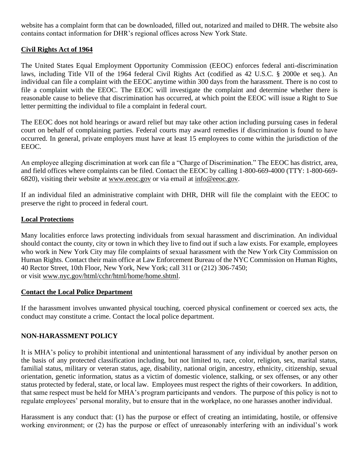website has a complaint form that can be downloaded, filled out, notarized and mailed to DHR. The website also contains contact information for DHR's regional offices across New York State.

#### **Civil Rights Act of 1964**

The United States Equal Employment Opportunity Commission (EEOC) enforces federal anti-discrimination laws, including Title VII of the 1964 federal Civil Rights Act (codified as 42 U.S.C. § 2000e et seq.). An individual can file a complaint with the EEOC anytime within 300 days from the harassment. There is no cost to file a complaint with the EEOC. The EEOC will investigate the complaint and determine whether there is reasonable cause to believe that discrimination has occurred, at which point the EEOC will issue a Right to Sue letter permitting the individual to file a complaint in federal court.

The EEOC does not hold hearings or award relief but may take other action including pursuing cases in federal court on behalf of complaining parties. Federal courts may award remedies if discrimination is found to have occurred. In general, private employers must have at least 15 employees to come within the jurisdiction of the EEOC.

An employee alleging discrimination at work can file a "Charge of Discrimination." The EEOC has district, area, and field offices where complaints can be filed. Contact the EEOC by calling 1-800-669-4000 (TTY: 1-800-669- 6820), visiting their website at [www.eeoc.gov](http://www.eeoc.gov/) or via email at [info@eeoc.gov.](mailto:info@eeoc.gov)

If an individual filed an administrative complaint with DHR, DHR will file the complaint with the EEOC to preserve the right to proceed in federal court.

## **Local Protections**

Many localities enforce laws protecting individuals from sexual harassment and discrimination. An individual should contact the county, city or town in which they live to find out if such a law exists. For example, employees who work in New York City may file complaints of sexual harassment with the New York City Commission on Human Rights. Contact their main office at Law Enforcement Bureau of the NYC Commission on Human Rights, 40 Rector Street, 10th Floor, New York, New York; call 311 or (212) 306-7450; or visit [www.nyc.gov/html/cchr/html/home/home.shtml.](http://www.nyc.gov/html/cchr/html/home/home.shtml)

#### **Contact the Local Police Department**

If the harassment involves unwanted physical touching, coerced physical confinement or coerced sex acts, the conduct may constitute a crime. Contact the local police department.

#### **NON-HARASSMENT POLICY**

It is MHA's policy to prohibit intentional and unintentional harassment of any individual by another person on the basis of any protected classification including, but not limited to, race, color, religion, sex, marital status, familial status, military or veteran status, age, disability, national origin, ancestry, ethnicity, citizenship, sexual orientation, genetic information, status as a victim of domestic violence, stalking, or sex offenses, or any other status protected by federal, state, or local law. Employees must respect the rights of their coworkers. In addition, that same respect must be held for MHA's program participants and vendors. The purpose of this policy is not to regulate employees' personal morality, but to ensure that in the workplace, no one harasses another individual.

Harassment is any conduct that: (1) has the purpose or effect of creating an intimidating, hostile, or offensive working environment; or (2) has the purpose or effect of unreasonably interfering with an individual's work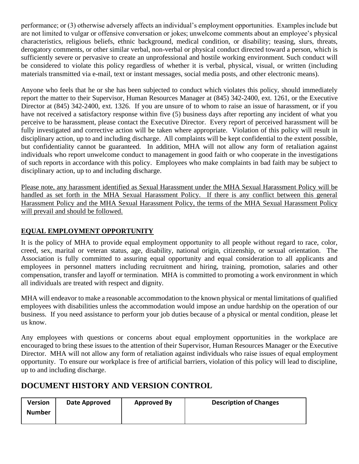performance; or (3) otherwise adversely affects an individual's employment opportunities. Examples include but are not limited to vulgar or offensive conversation or jokes; unwelcome comments about an employee's physical characteristics, religious beliefs, ethnic background, medical condition, or disability; teasing, slurs, threats, derogatory comments, or other similar verbal, non-verbal or physical conduct directed toward a person, which is sufficiently severe or pervasive to create an unprofessional and hostile working environment. Such conduct will be considered to violate this policy regardless of whether it is verbal, physical, visual, or written (including materials transmitted via e-mail, text or instant messages, social media posts, and other electronic means).

Anyone who feels that he or she has been subjected to conduct which violates this policy, should immediately report the matter to their Supervisor, Human Resources Manager at (845) 342-2400, ext. 1261, or the Executive Director at (845) 342-2400, ext. 1326. If you are unsure of to whom to raise an issue of harassment, or if you have not received a satisfactory response within five (5) business days after reporting any incident of what you perceive to be harassment, please contact the Executive Director. Every report of perceived harassment will be fully investigated and corrective action will be taken where appropriate. Violation of this policy will result in disciplinary action, up to and including discharge. All complaints will be kept confidential to the extent possible, but confidentiality cannot be guaranteed. In addition, MHA will not allow any form of retaliation against individuals who report unwelcome conduct to management in good faith or who cooperate in the investigations of such reports in accordance with this policy. Employees who make complaints in bad faith may be subject to disciplinary action, up to and including discharge.

Please note, any harassment identified as Sexual Harassment under the MHA Sexual Harassment Policy will be handled as set forth in the MHA Sexual Harassment Policy. If there is any conflict between this general Harassment Policy and the MHA Sexual Harassment Policy, the terms of the MHA Sexual Harassment Policy will prevail and should be followed.

# **EQUAL EMPLOYMENT OPPORTUNITY**

It is the policy of MHA to provide equal employment opportunity to all people without regard to race, color, creed, sex, marital or veteran status, age, disability, national origin, citizenship, or sexual orientation. The Association is fully committed to assuring equal opportunity and equal consideration to all applicants and employees in personnel matters including recruitment and hiring, training, promotion, salaries and other compensation, transfer and layoff or termination. MHA is committed to promoting a work environment in which all individuals are treated with respect and dignity.

MHA will endeavor to make a reasonable accommodation to the known physical or mental limitations of qualified employees with disabilities unless the accommodation would impose an undue hardship on the operation of our business. If you need assistance to perform your job duties because of a physical or mental condition, please let us know.

Any employees with questions or concerns about equal employment opportunities in the workplace are encouraged to bring these issues to the attention of their Supervisor, Human Resources Manager or the Executive Director. MHA will not allow any form of retaliation against individuals who raise issues of equal employment opportunity. To ensure our workplace is free of artificial barriers, violation of this policy will lead to discipline, up to and including discharge.

# **DOCUMENT HISTORY AND VERSION CONTROL**

| <b>Version</b> | Date Approved | <b>Approved By</b> | <b>Description of Changes</b> |
|----------------|---------------|--------------------|-------------------------------|
| <b>Number</b>  |               |                    |                               |
|                |               |                    |                               |